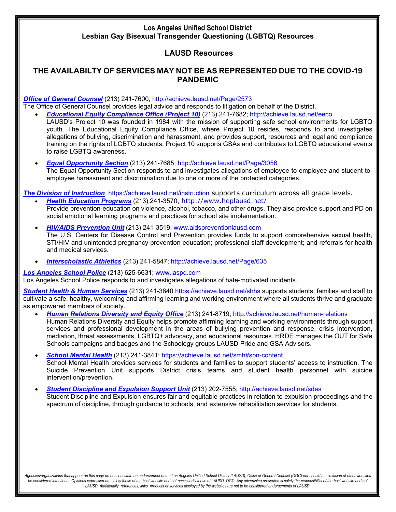# **LAUSD Resources**

## **THE AVAILABILTY OF SERVICES MAY NOT BE AS REPRESENTED DUE TO THE COVID-19 PANDEMIC**

#### *Office of General Counsel* (213) 241-7600; http://achieve.lausd.net/Page/2573

The Office of General Counsel provides legal advice and responds to litigation on behalf of the District.

- *Educational Equity Compliance Office (Project 10)* (213) 241-7682; http://achieve.lausd.net/eeco
	- LAUSD's Project 10 was founded in 1984 with the mission of supporting safe school environments for LGBTQ youth. The Educational Equity Compliance Office, where Project 10 resides, responds to and investigates allegations of bullying, discrimination and harassment, and provides support, resources and legal and compliance training on the rights of LGBTQ students. Project 10 supports GSAs and contributes to LGBTQ educational events to raise LGBTQ awareness.
	- *Equal Opportunity Section* (213) 241-7685; http://achieve.lausd.net/Page/3056 The Equal Opportunity Section responds to and investigates allegations of employee-to-employee and student-toemployee harassment and discrimination due to one or more of the protected categories.

*The Division of Instruction* https://achieve.lausd.net/instruction supports curriculum across all grade levels.

- *Health Education Programs* (213) 241-3570; http://www.heplausd.net/ Provide prevention-education on violence, alcohol, tobacco, and other drugs. They also provide support and PD on social emotional learning programs and practices for school site implementation.
- *HIV/AIDS Prevention Unit* (213) 241-3519; www.aidspreventionlausd.com The U.S. Centers for Disease Control and Prevention provides funds to support comprehensive sexual health, STI/HIV and unintended pregnancy prevention education; professional staff development; and referrals for health and medical services.
- *Interscholastic Athletics* (213) 241-5847; http://achieve.lausd.net/Page/635

#### *Los Angeles School Police* (213) 625-6631; www.laspd.com

Los Angeles School Police responds to and investigates allegations of hate-motivated incidents.

*Student Health & Human Services* (213) 241-3840 https://achieve.lausd.net/shhs supports students, families and staff to cultivate a safe, healthy, welcoming and affirming learning and working environment where all students thrive and graduate as empowered members of society.

- *Human Relations Diversity and Equity Office* (213) 241-8719; http://achieve.lausd.net/human-relations Human Relations Diversity and Equity helps promote affirming learning and working environments through support services and professional development in the areas of bullying prevention and response, crisis intervention, mediation, threat assessments, LGBTQ+ advocacy, and educational resources. HRDE manages the OUT for Safe Schools campaigns and badges and the Schoology groups LAUSD Pride and GSA Advisors.
- *School Mental Health* (213) 241-3841; https://achieve.lausd.net/smh#spn-content School Mental Health provides services for students and families to support students' access to instruction. The Suicide Prevention Unit supports District crisis teams and student health personnel with suicide intervention/prevention.
- *Student Discipline and Expulsion Support Unit* (213) 202-7555; http://achieve.lausd.net/sdes Student Discipline and Expulsion ensures fair and equitable practices in relation to expulsion proceedings and the spectrum of discipline, through guidance to schools, and extensive rehabilitation services for students.

*Agencies/organizations that appear on this page do not constitute an endorsement of the Los Angeles Unified School District (LAUSD), Office of General Counsel (OGC) nor should an exclusion of other websites*  be considered intentional. Opinions expressed are solely those of the host website and not necessarily those of LAUSD, OGC. Any advertising presented is solely the responsibility of the host website and not *LAUSD. Additionally, references, links, products or services displayed by the websites are not to be considered endorsements of LAUSD.*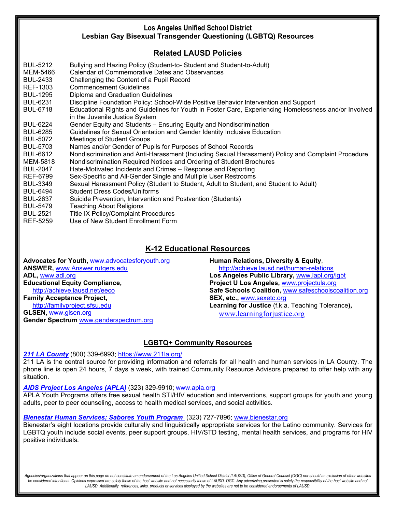# **Related LAUSD Policies**

| <b>BUL-5212</b> | Bullying and Hazing Policy (Student-to-Student and Student-to-Adult)                                  |
|-----------------|-------------------------------------------------------------------------------------------------------|
| MEM-5466        | Calendar of Commemorative Dates and Observances                                                       |
| <b>BUL-2433</b> | Challenging the Content of a Pupil Record                                                             |
| REF-1303        | <b>Commencement Guidelines</b>                                                                        |
| <b>BUL-1295</b> | Diploma and Graduation Guidelines                                                                     |
| <b>BUL-6231</b> | Discipline Foundation Policy: School-Wide Positive Behavior Intervention and Support                  |
| <b>BUL-6718</b> | Educational Rights and Guidelines for Youth in Foster Care, Experiencing Homelessness and/or Involved |
|                 | in the Juvenile Justice System                                                                        |
| <b>BUL-6224</b> | Gender Equity and Students - Ensuring Equity and Nondiscrimination                                    |
| <b>BUL-6285</b> | Guidelines for Sexual Orientation and Gender Identity Inclusive Education                             |
| <b>BUL-5072</b> | <b>Meetings of Student Groups</b>                                                                     |
| <b>BUL-5703</b> | Names and/or Gender of Pupils for Purposes of School Records                                          |
| <b>BUL-6612</b> | Nondiscrimination and Anti-Harassment (Including Sexual Harassment) Policy and Complaint Procedure    |
| MEM-5818        | Nondiscrimination Required Notices and Ordering of Student Brochures                                  |
| <b>BUL-2047</b> | Hate-Motivated Incidents and Crimes - Response and Reporting                                          |
| REF-6799        | Sex-Specific and All-Gender Single and Multiple User Restrooms                                        |
| <b>BUL-3349</b> | Sexual Harassment Policy (Student to Student, Adult to Student, and Student to Adult)                 |
| <b>BUL-6494</b> | <b>Student Dress Codes/Uniforms</b>                                                                   |
| <b>BUL-2637</b> | Suicide Prevention, Intervention and Postvention (Students)                                           |
| <b>BUL-5479</b> | <b>Teaching About Religions</b>                                                                       |
| <b>BUL-2521</b> | Title IX Policy/Complaint Procedures                                                                  |
| REF-5259        | Use of New Student Enrollment Form                                                                    |
|                 |                                                                                                       |
|                 |                                                                                                       |

# **K-12 Educational Resources**

**Advocates for Youth,** www.advocatesforyouth.org **ANSWER,** www.Answer.rutgers.edu **ADL,** www.adl.org **Educational Equity Compliance,** http://achieve.lausd.net/eeco

**Family Acceptance Project,** http://familyproject.sfsu.edu **GLSEN,** www.glsen.org **Gender Spectrum** www.genderspectrum.org **Human Relations, Diversity & Equity**, http://achieve.lausd.net/human-relations **Los Angeles Public Library,** www.lapl.org/lgbt **Project U Los Angeles,** www.projectula.org **Safe Schools Coalition,** www.safeschoolscoalition.org **SEX, etc.,** www.sexetc.org **Learning for Justice** (f.k.a. Teaching Tolerance**),**  www.learningforjustice.org

# **LGBTQ+ Community Resources**

### *211 LA County* (800) 339-6993; https://www.211la.org/

211 LA is the central source for providing information and referrals for all health and human services in LA County. The phone line is open 24 hours, 7 days a week, with trained Community Resource Advisors prepared to offer help with any situation.

### *AIDS Project Los Angeles (APLA)* (323) 329-9910; www.apla.org

APLA Youth Programs offers free sexual health STI/HIV education and interventions, support groups for youth and young adults, peer to peer counseling, access to health medical services, and social activities.

### *Bienestar Human Services; Sabores Youth Program* (323) 727-7896; www.bienestar.org

Bienestar's eight locations provide culturally and linguistically appropriate services for the Latino community. Services for LGBTQ youth include social events, peer support groups, HIV/STD testing, mental health services, and programs for HIV positive individuals.

*Agencies/organizations that appear on this page do not constitute an endorsement of the Los Angeles Unified School District (LAUSD), Office of General Counsel (OGC) nor should an exclusion of other websites*  be considered intentional. Opinions expressed are solely those of the host website and not necessarily those of LAUSD, OGC. Any advertising presented is solely the responsibility of the host website and not *LAUSD. Additionally, references, links, products or services displayed by the websites are not to be considered endorsements of LAUSD.*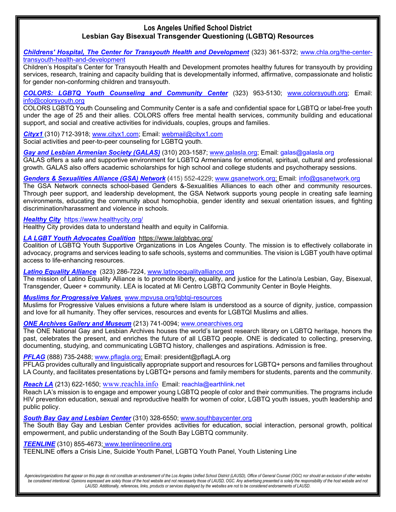*Childrens' Hospital, The Center for Transyouth Health and Development* (323) 361-5372; www.chla.org/the-centertransyouth-health-and-development

Children's Hospital's Center for Transyouth Health and Development promotes healthy futures for transyouth by providing services, research, training and capacity building that is developmentally informed, affirmative, compassionate and holistic for gender non-conforming children and transyouth.

*COLORS: LGBTQ Youth Counseling and Community Center* (323) 953-5130; www.colorsyouth.org; Email: info@colorsyouth.org

COLORS LGBTQ Youth Counseling and Community Center is a safe and confidential space for LGBTQ or label-free youth under the age of 25 and their allies. COLORS offers free mental health services, community building and educational support, and social and creative activities for individuals, couples, groups and families.

*Cityx1* (310) 712-3918; www.cityx1.com; Email: webmail@cityx1.com Social activities and peer-to-peer counseling for LGBTQ youth.

*Gay and Lesbian Armenian Society (GALAS)* (310) 203-1587; www.galasla.org; Email: galas@galasla.org GALAS offers a safe and supportive environment for LGBTQ Armenians for emotional, spiritual, cultural and professional growth. GALAS also offers academic scholarships for high school and college students and psychotherapy sessions.

*Genders & Sexualities Alliance (GSA) Network* (415) 552-4229; www.gsanetwork.org; Email: info@gsanetwork.org

The GSA Network connects school-based Genders &-Sexualities Alliances to each other and community resources. Through peer support, and leadership development, the GSA Network supports young people in creating safe learning environments, educating the community about homophobia, gender identity and sexual orientation issues, and fighting discrimination/harassment and violence in schools.

#### *Healthy City* https://www.healthycity.org/

Healthy City provides data to understand health and equity in California.

#### *LA LGBT Youth Advocates Coalition* https://www.lalgbtyac.org/

Coalition of LGBTQ Youth Supportive Organizations in Los Angeles County. The mission is to effectively collaborate in advocacy, programs and services leading to safe schools, systems and communities. The vision is LGBT youth have optimal access to life-enhancing resources.

*Latino Equality Alliance* (323) 286-7224, www.latinoequalityalliance.org

The mission of Latino Equality Alliance is to promote liberty, equality, and justice for the Latino/a Lesbian, Gay, Bisexual, Transgender, Queer + community. LEA is located at Mi Centro LGBTQ Community Center in Boyle Heights.

*Muslims for Progressive Values* www.mpvusa.org/lgbtqi-resources

Muslims for Progressive Values envisions a future where Islam is understood as a source of dignity, justice, compassion and love for all humanity. They offer services, resources and events for LGBTQI Muslims and allies.

*ONE Archives Gallery and Museum* (213) 741-0094; www.onearchives.org

The ONE National Gay and Lesbian Archives houses the world's largest research library on LGBTQ heritage, honors the past, celebrates the present, and enriches the future of all LGBTQ people. ONE is dedicated to collecting, preserving, documenting, studying, and communicating LGBTQ history, challenges and aspirations. Admission is free.

**PFLAG** (888) 735-2488; www.pflagla.org; Email: president@pflagLA.org

PFLAG provides culturally and linguistically appropriate support and resources for LGBTQ+ persons and families throughout LA County, and facilitates presentations by LGBTQ+ persons and family members for students, parents and the community.

*Reach LA* (213) 622-1650; www.reachla.info Email: reachla@earthlink.net

Reach LA's mission is to engage and empower young LGBTQ people of color and their communities. The programs include HIV prevention education, sexual and reproductive health for women of color, LGBTQ youth issues, youth leadership and public policy.

*South Bay Gay and Lesbian Center* (310) 328-6550; www.southbaycenter.org

The South Bay Gay and Lesbian Center provides activities for education, social interaction, personal growth, political empowerment, and public understanding of the South Bay LGBTQ community.

*TEENLINE* (310) 855-4673; www.teenlineonline.org

TEENLINE offers a Crisis Line, Suicide Youth Panel, LGBTQ Youth Panel, Youth Listening Line

Agencies/organizations that appear on this page do not constitute an endorsement of the Los Angeles Unified School District (LAUSD), Office of General Counsel (OGC) nor should an exclusion of other websites be considered intentional. Opinions expressed are solely those of the host website and not necessarily those of LAUSD, OGC. Any advertising presented is solely the responsibility of the host website and not *LAUSD. Additionally, references, links, products or services displayed by the websites are not to be considered endorsements of LAUSD.*